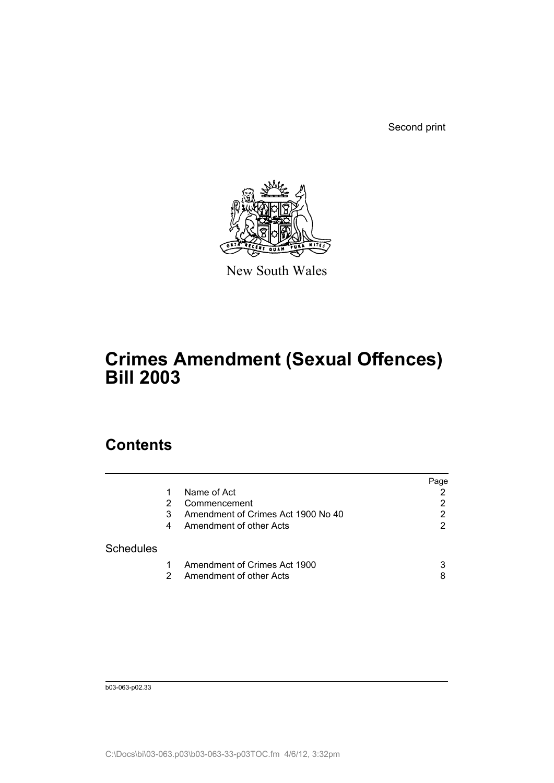Second print



New South Wales

## **Crimes Amendment (Sexual Offences) Bill 2003**

## **Contents**

|                  |    |                                    | Page |
|------------------|----|------------------------------------|------|
|                  |    | Name of Act                        |      |
|                  | 2  | Commencement                       | 2    |
|                  | 3  | Amendment of Crimes Act 1900 No 40 | 2    |
|                  | 4  | Amendment of other Acts            | 2    |
| <b>Schedules</b> |    |                                    |      |
|                  |    | Amendment of Crimes Act 1900       | 3    |
|                  | 2. | Amendment of other Acts            | 8    |
|                  |    |                                    |      |

b03-063-p02.33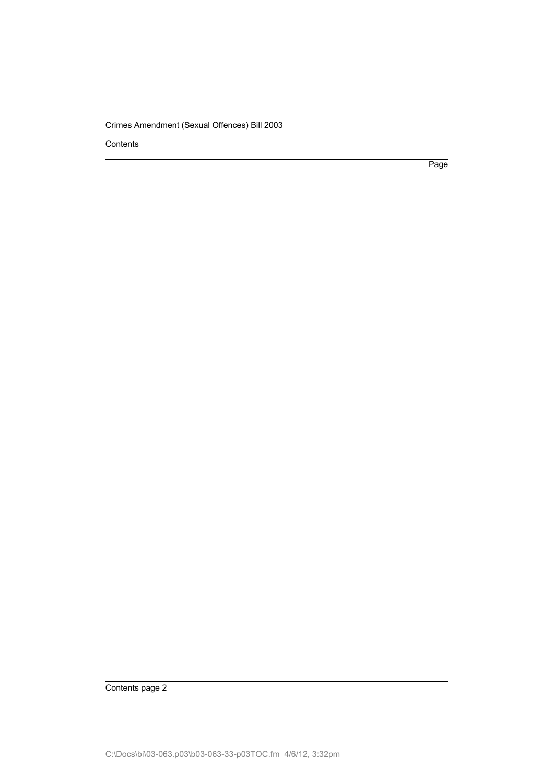Contents

Page

Contents page 2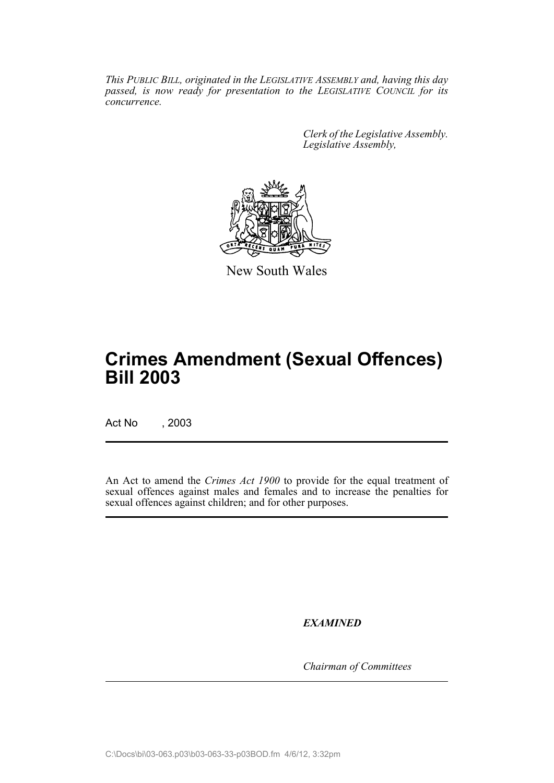*This PUBLIC BILL, originated in the LEGISLATIVE ASSEMBLY and, having this day passed, is now ready for presentation to the LEGISLATIVE COUNCIL for its concurrence.*

> *Clerk of the Legislative Assembly. Legislative Assembly,*



New South Wales

## **Crimes Amendment (Sexual Offences) Bill 2003**

Act No , 2003

An Act to amend the *Crimes Act 1900* to provide for the equal treatment of sexual offences against males and females and to increase the penalties for sexual offences against children; and for other purposes.

*EXAMINED*

*Chairman of Committees*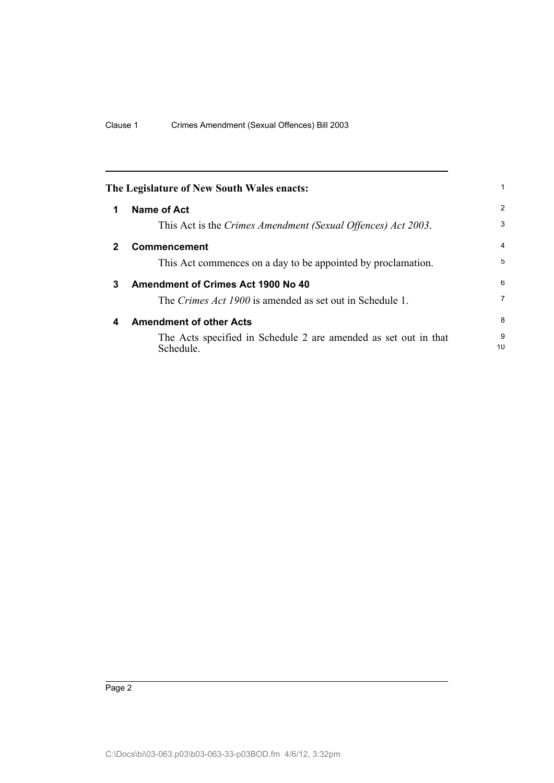<span id="page-3-3"></span><span id="page-3-2"></span><span id="page-3-1"></span><span id="page-3-0"></span>

| The Legislature of New South Wales enacts: |                                                                              | 1.      |
|--------------------------------------------|------------------------------------------------------------------------------|---------|
| 1                                          | Name of Act                                                                  | 2       |
|                                            | This Act is the Crimes Amendment (Sexual Offences) Act 2003.                 | 3       |
| 2                                          | Commencement                                                                 | 4       |
|                                            | This Act commences on a day to be appointed by proclamation.                 | 5       |
| 3                                          | <b>Amendment of Crimes Act 1900 No 40</b>                                    | 6       |
|                                            | The <i>Crimes Act 1900</i> is amended as set out in Schedule 1.              | 7       |
| 4                                          | <b>Amendment of other Acts</b>                                               | 8       |
|                                            | The Acts specified in Schedule 2 are amended as set out in that<br>Schedule. | 9<br>10 |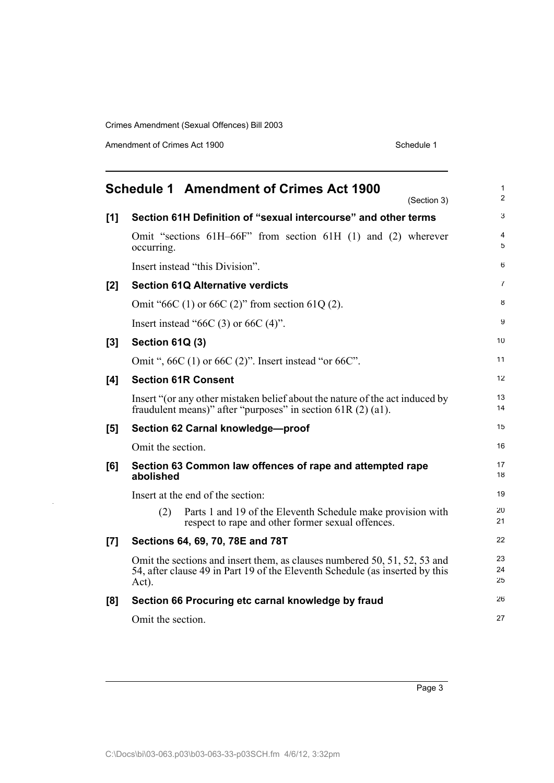Amendment of Crimes Act 1900 Schedule 1

l.

<span id="page-4-0"></span>

|       | <b>Schedule 1 Amendment of Crimes Act 1900</b>                                                                                                                     | 1<br>$\overline{2}$ |
|-------|--------------------------------------------------------------------------------------------------------------------------------------------------------------------|---------------------|
|       | (Section 3)                                                                                                                                                        |                     |
| [1]   | Section 61H Definition of "sexual intercourse" and other terms                                                                                                     | 3                   |
|       | Omit "sections 61H-66F" from section 61H (1) and (2) wherever<br>occurring.                                                                                        | 4<br>5              |
|       | Insert instead "this Division".                                                                                                                                    | 6                   |
| [2]   | <b>Section 61Q Alternative verdicts</b>                                                                                                                            | $\overline{7}$      |
|       | Omit "66C (1) or 66C (2)" from section 61Q (2).                                                                                                                    | 8                   |
|       | Insert instead " $66C$ (3) or $66C$ (4)".                                                                                                                          | 9                   |
| [3]   | <b>Section 61Q (3)</b>                                                                                                                                             | 10                  |
|       | Omit ", 66C (1) or 66C (2)". Insert instead "or 66C".                                                                                                              | 11                  |
| [4]   | <b>Section 61R Consent</b>                                                                                                                                         | 12                  |
|       | Insert "(or any other mistaken belief about the nature of the act induced by<br>fraudulent means)" after "purposes" in section $61R(2)(a1)$ .                      | 13<br>14            |
| $[5]$ | Section 62 Carnal knowledge-proof                                                                                                                                  | 15                  |
|       | Omit the section.                                                                                                                                                  | 16                  |
| [6]   | Section 63 Common law offences of rape and attempted rape<br>abolished                                                                                             | 17<br>18            |
|       | Insert at the end of the section:                                                                                                                                  | 19                  |
|       | Parts 1 and 19 of the Eleventh Schedule make provision with<br>(2)<br>respect to rape and other former sexual offences.                                            | 20<br>21            |
| [7]   | Sections 64, 69, 70, 78E and 78T                                                                                                                                   | 22                  |
|       | Omit the sections and insert them, as clauses numbered 50, 51, 52, 53 and<br>54, after clause 49 in Part 19 of the Eleventh Schedule (as inserted by this<br>Act). | 23<br>24<br>25      |
| [8]   | Section 66 Procuring etc carnal knowledge by fraud                                                                                                                 | 26                  |
|       | Omit the section.                                                                                                                                                  | 27                  |

Page 3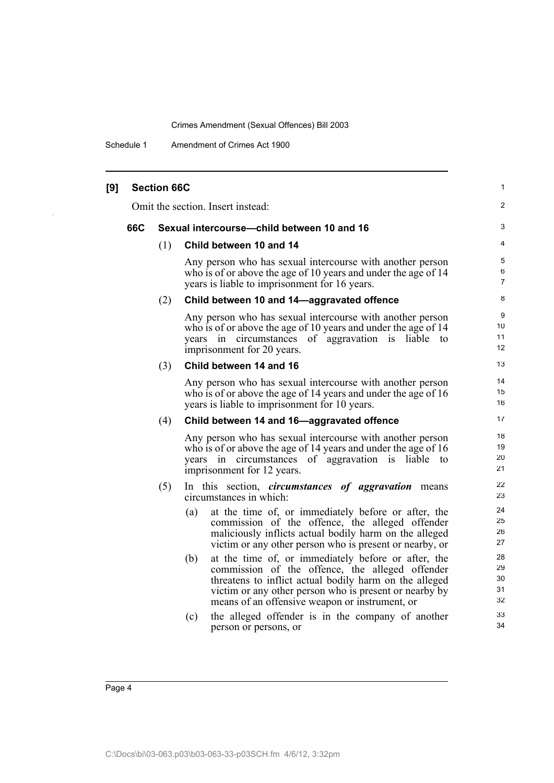Schedule 1 Amendment of Crimes Act 1900

## **[9] Section 66C** Omit the section. Insert instead: **66C Sexual intercourse—child between 10 and 16** (1) **Child between 10 and 14** Any person who has sexual intercourse with another person who is of or above the age of 10 years and under the age of 14 years is liable to imprisonment for 16 years. (2) **Child between 10 and 14—aggravated offence** Any person who has sexual intercourse with another person who is of or above the age of 10 years and under the age of 14 years in circumstances of aggravation is liable to imprisonment for 20 years. (3) **Child between 14 and 16** Any person who has sexual intercourse with another person who is of or above the age of 14 years and under the age of 16 years is liable to imprisonment for 10 years. (4) **Child between 14 and 16—aggravated offence** Any person who has sexual intercourse with another person who is of or above the age of 14 years and under the age of 16 years in circumstances of aggravation is liable to imprisonment for 12 years. (5) In this section, *circumstances of aggravation* means circumstances in which: (a) at the time of, or immediately before or after, the commission of the offence, the alleged offender maliciously inflicts actual bodily harm on the alleged victim or any other person who is present or nearby, or (b) at the time of, or immediately before or after, the commission of the offence, the alleged offender threatens to inflict actual bodily harm on the alleged victim or any other person who is present or nearby by means of an offensive weapon or instrument, or (c) the alleged offender is in the company of another person or persons, or 1 2 3 4 5 6 7 8 9 10 11 12 13 14 15 16 17 18 19 20 21 22 23 24 25 26 27 28 29 30 31 32 33 34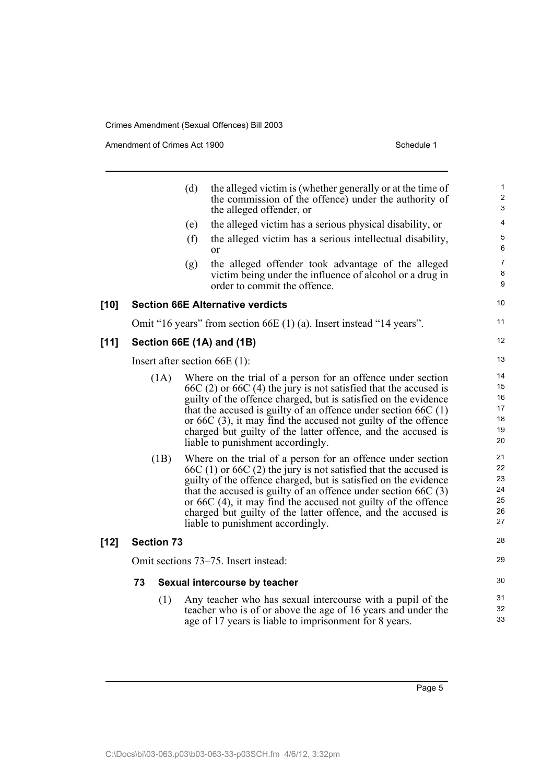Amendment of Crimes Act 1900 Schedule 1

 $\hat{\mathcal{A}}$ 

 $\bar{\beta}$ 

|        |    |                   | (d)<br>the alleged victim is (whether generally or at the time of<br>the commission of the offence) under the authority of<br>the alleged offender, or                                                                                                                                                                                                                                                                                            | 1<br>$\overline{2}$<br>3               |
|--------|----|-------------------|---------------------------------------------------------------------------------------------------------------------------------------------------------------------------------------------------------------------------------------------------------------------------------------------------------------------------------------------------------------------------------------------------------------------------------------------------|----------------------------------------|
|        |    |                   | the alleged victim has a serious physical disability, or<br>(e)                                                                                                                                                                                                                                                                                                                                                                                   | 4                                      |
|        |    |                   | (f)<br>the alleged victim has a serious intellectual disability,<br>or                                                                                                                                                                                                                                                                                                                                                                            | 5<br>6                                 |
|        |    |                   | the alleged offender took advantage of the alleged<br>(g)<br>victim being under the influence of alcohol or a drug in<br>order to commit the offence.                                                                                                                                                                                                                                                                                             | $\overline{7}$<br>8<br>9               |
| $[10]$ |    |                   | <b>Section 66E Alternative verdicts</b>                                                                                                                                                                                                                                                                                                                                                                                                           | 10                                     |
|        |    |                   | Omit "16 years" from section 66E (1) (a). Insert instead "14 years".                                                                                                                                                                                                                                                                                                                                                                              | 11                                     |
| [11]   |    |                   | Section 66E (1A) and (1B)                                                                                                                                                                                                                                                                                                                                                                                                                         | 12                                     |
|        |    |                   | Insert after section $66E(1)$ :                                                                                                                                                                                                                                                                                                                                                                                                                   | 13                                     |
|        |    | (1A)              | Where on the trial of a person for an offence under section<br>$66C$ (2) or $66C$ (4) the jury is not satisfied that the accused is<br>guilty of the offence charged, but is satisfied on the evidence<br>that the accused is guilty of an offence under section $66C(1)$<br>or $66C$ (3), it may find the accused not guilty of the offence<br>charged but guilty of the latter offence, and the accused is<br>liable to punishment accordingly. | 14<br>15<br>16<br>17<br>18<br>19<br>20 |
|        |    | (1B)              | Where on the trial of a person for an offence under section<br>$66C(1)$ or $66C(2)$ the jury is not satisfied that the accused is<br>guilty of the offence charged, but is satisfied on the evidence<br>that the accused is guilty of an offence under section $66C(3)$<br>or $66C$ (4), it may find the accused not guilty of the offence<br>charged but guilty of the latter offence, and the accused is<br>liable to punishment accordingly.   | 21<br>22<br>23<br>24<br>25<br>26<br>27 |
| $[12]$ |    | <b>Section 73</b> |                                                                                                                                                                                                                                                                                                                                                                                                                                                   | 28                                     |
|        |    |                   | Omit sections 73–75. Insert instead:                                                                                                                                                                                                                                                                                                                                                                                                              | 29                                     |
|        | 73 |                   | Sexual intercourse by teacher                                                                                                                                                                                                                                                                                                                                                                                                                     | 30                                     |
|        |    | (1)               | Any teacher who has sexual intercourse with a pupil of the<br>teacher who is of or above the age of 16 years and under the<br>age of 17 years is liable to imprisonment for 8 years.                                                                                                                                                                                                                                                              | 31<br>32<br>33                         |

Page 5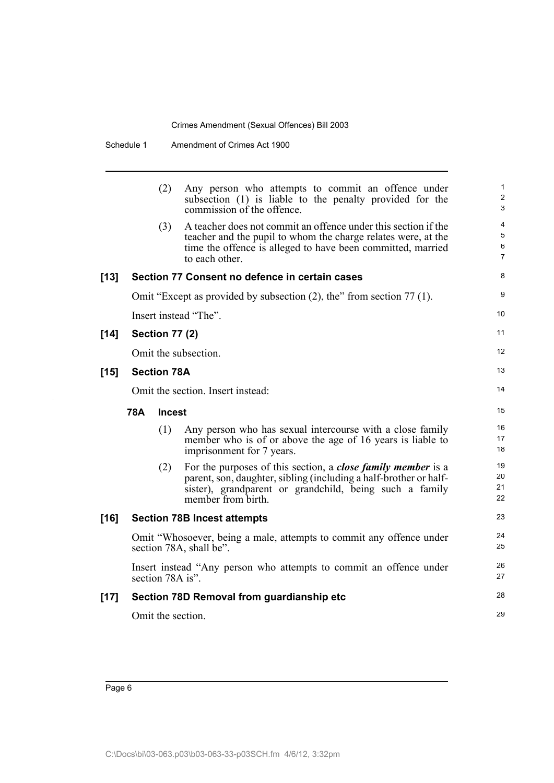|        | (2)                         | Any person who attempts to commit an offence under<br>subsection (1) is liable to the penalty provided for the<br>commission of the offence.                                                                              | $\mathbf{1}$<br>$\overline{2}$<br>3 |
|--------|-----------------------------|---------------------------------------------------------------------------------------------------------------------------------------------------------------------------------------------------------------------------|-------------------------------------|
|        | (3)                         | A teacher does not commit an offence under this section if the<br>teacher and the pupil to whom the charge relates were, at the<br>time the offence is alleged to have been committed, married<br>to each other.          | 4<br>5<br>6<br>$\overline{7}$       |
| $[13]$ |                             | Section 77 Consent no defence in certain cases                                                                                                                                                                            | 8                                   |
|        |                             | Omit "Except as provided by subsection $(2)$ , the" from section 77 $(1)$ .                                                                                                                                               | 9                                   |
|        |                             | Insert instead "The".                                                                                                                                                                                                     | 10                                  |
| $[14]$ | <b>Section 77 (2)</b>       |                                                                                                                                                                                                                           | 11                                  |
|        |                             | Omit the subsection.                                                                                                                                                                                                      | 12                                  |
| $[15]$ | <b>Section 78A</b>          |                                                                                                                                                                                                                           | 13                                  |
|        |                             | Omit the section. Insert instead:                                                                                                                                                                                         | 14                                  |
|        | <b>78A</b><br><b>Incest</b> |                                                                                                                                                                                                                           | 15                                  |
|        | (1)                         | Any person who has sexual intercourse with a close family<br>member who is of or above the age of 16 years is liable to<br>imprisonment for 7 years.                                                                      | 16<br>17<br>18                      |
|        | (2)                         | For the purposes of this section, a <i>close family member</i> is a<br>parent, son, daughter, sibling (including a half-brother or half-<br>sister), grandparent or grandchild, being such a family<br>member from birth. | 19<br>20<br>21<br>22                |
| $[16]$ |                             | <b>Section 78B Incest attempts</b>                                                                                                                                                                                        | 23                                  |
|        |                             | Omit "Whosoever, being a male, attempts to commit any offence under<br>section 78A, shall be".                                                                                                                            | 24<br>25                            |
|        | section 78A is".            | Insert instead "Any person who attempts to commit an offence under                                                                                                                                                        | 26<br>27                            |
| $[17]$ |                             | Section 78D Removal from guardianship etc                                                                                                                                                                                 | 28                                  |
|        | Omit the section.           |                                                                                                                                                                                                                           | 29                                  |
|        |                             |                                                                                                                                                                                                                           |                                     |

 $\ddot{\phantom{a}}$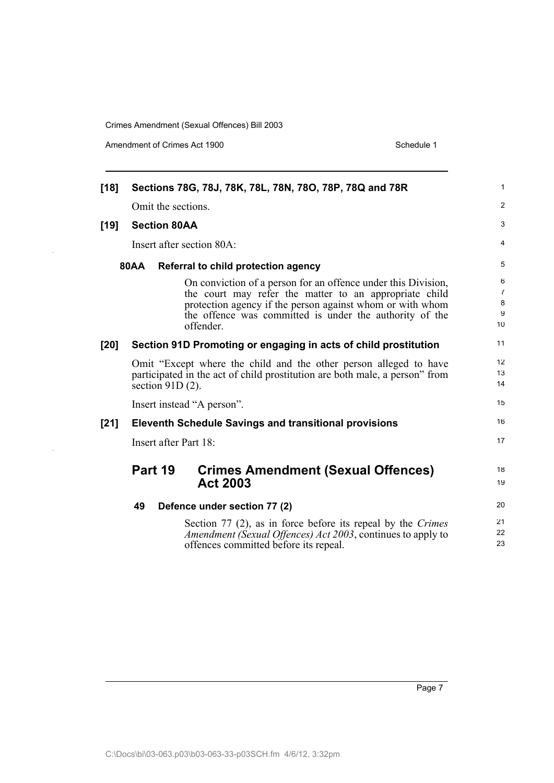Amendment of Crimes Act 1900 Schedule 1

l.

l,

| $[18]$ | Sections 78G, 78J, 78K, 78L, 78N, 78O, 78P, 78Q and 78R                                                                                                                                                                                                      | 1                      |
|--------|--------------------------------------------------------------------------------------------------------------------------------------------------------------------------------------------------------------------------------------------------------------|------------------------|
|        | Omit the sections.                                                                                                                                                                                                                                           | 2                      |
| [19]   | <b>Section 80AA</b>                                                                                                                                                                                                                                          | 3                      |
|        | Insert after section 80A:                                                                                                                                                                                                                                    | 4                      |
|        | <b>80AA</b><br>Referral to child protection agency                                                                                                                                                                                                           | 5                      |
|        | On conviction of a person for an offence under this Division,<br>the court may refer the matter to an appropriate child<br>protection agency if the person against whom or with whom<br>the offence was committed is under the authority of the<br>offender. | 6<br>7<br>8<br>9<br>10 |
| $[20]$ | Section 91D Promoting or engaging in acts of child prostitution                                                                                                                                                                                              | 11                     |
|        | Omit "Except where the child and the other person alleged to have<br>participated in the act of child prostitution are both male, a person" from<br>section $91D(2)$ .                                                                                       | 12<br>13<br>14         |
|        | Insert instead "A person".                                                                                                                                                                                                                                   | 15                     |
| [21]   | <b>Eleventh Schedule Savings and transitional provisions</b>                                                                                                                                                                                                 | 16                     |
|        | Insert after Part 18:                                                                                                                                                                                                                                        | 17                     |
|        | Part 19<br><b>Crimes Amendment (Sexual Offences)</b><br><b>Act 2003</b>                                                                                                                                                                                      | 18<br>19               |
|        | 49<br>Defence under section 77 (2)                                                                                                                                                                                                                           | 20                     |
|        | Section 77 (2), as in force before its repeal by the Crimes<br>Amendment (Sexual Offences) Act 2003, continues to apply to<br>offences committed before its repeal.                                                                                          | 21<br>22<br>23         |